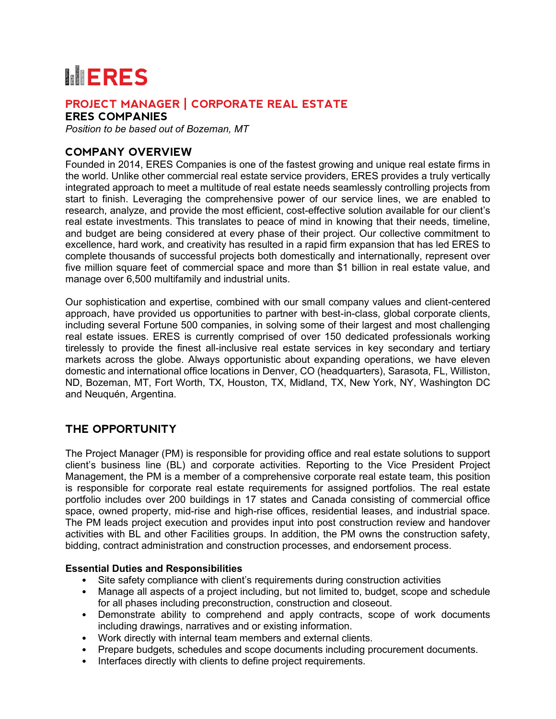# **MERES**

## **PROJECT MANAGER | CORPORATE REAL ESTATE**

**ERES COMPANIES**

*Position to be based out of Bozeman, MT*

## **COMPANY OVERVIEW**

Founded in 2014, ERES Companies is one of the fastest growing and unique real estate firms in the world. Unlike other commercial real estate service providers, ERES provides a truly vertically integrated approach to meet a multitude of real estate needs seamlessly controlling projects from start to finish. Leveraging the comprehensive power of our service lines, we are enabled to research, analyze, and provide the most efficient, cost-effective solution available for our client's real estate investments. This translates to peace of mind in knowing that their needs, timeline, and budget are being considered at every phase of their project. Our collective commitment to excellence, hard work, and creativity has resulted in a rapid firm expansion that has led ERES to complete thousands of successful projects both domestically and internationally, represent over five million square feet of commercial space and more than \$1 billion in real estate value, and manage over 6,500 multifamily and industrial units.

Our sophistication and expertise, combined with our small company values and client-centered approach, have provided us opportunities to partner with best-in-class, global corporate clients, including several Fortune 500 companies, in solving some of their largest and most challenging real estate issues. ERES is currently comprised of over 150 dedicated professionals working tirelessly to provide the finest all-inclusive real estate services in key secondary and tertiary markets across the globe. Always opportunistic about expanding operations, we have eleven domestic and international office locations in Denver, CO (headquarters), Sarasota, FL, Williston, ND, Bozeman, MT, Fort Worth, TX, Houston, TX, Midland, TX, New York, NY, Washington DC and Neuquén, Argentina.

## **THE OPPORTUNITY**

The Project Manager (PM) is responsible for providing office and real estate solutions to support client's business line (BL) and corporate activities. Reporting to the Vice President Project Management, the PM is a member of a comprehensive corporate real estate team, this position is responsible for corporate real estate requirements for assigned portfolios. The real estate portfolio includes over 200 buildings in 17 states and Canada consisting of commercial office space, owned property, mid-rise and high-rise offices, residential leases, and industrial space. The PM leads project execution and provides input into post construction review and handover activities with BL and other Facilities groups. In addition, the PM owns the construction safety, bidding, contract administration and construction processes, and endorsement process.

#### **Essential Duties and Responsibilities**

- Site safety compliance with client's requirements during construction activities
- Manage all aspects of a project including, but not limited to, budget, scope and schedule for all phases including preconstruction, construction and closeout.
- Demonstrate ability to comprehend and apply contracts, scope of work documents including drawings, narratives and or existing information.
- Work directly with internal team members and external clients.
- Prepare budgets, schedules and scope documents including procurement documents.
- Interfaces directly with clients to define project requirements.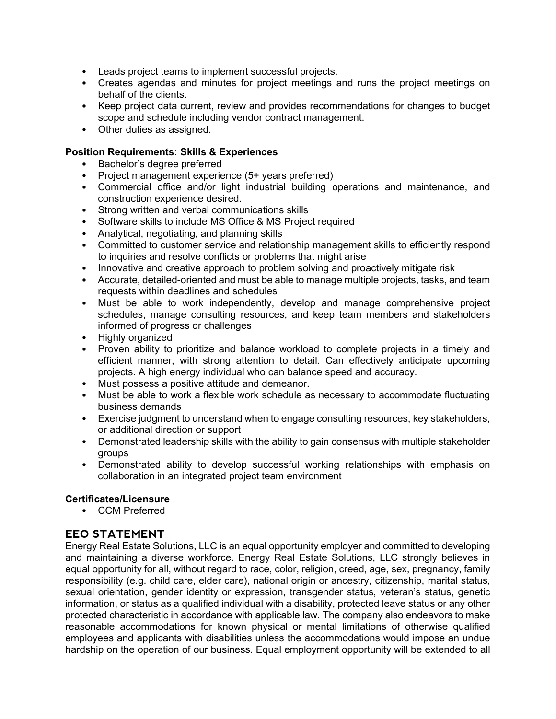- Leads project teams to implement successful projects.
- Creates agendas and minutes for project meetings and runs the project meetings on behalf of the clients.
- Keep project data current, review and provides recommendations for changes to budget scope and schedule including vendor contract management.
- Other duties as assigned.

#### **Position Requirements: Skills & Experiences**

- Bachelor's degree preferred
- Project management experience (5+ years preferred)
- Commercial office and/or light industrial building operations and maintenance, and construction experience desired.
- Strong written and verbal communications skills
- Software skills to include MS Office & MS Project required
- Analytical, negotiating, and planning skills
- Committed to customer service and relationship management skills to efficiently respond to inquiries and resolve conflicts or problems that might arise
- Innovative and creative approach to problem solving and proactively mitigate risk
- Accurate, detailed-oriented and must be able to manage multiple projects, tasks, and team requests within deadlines and schedules
- Must be able to work independently, develop and manage comprehensive project schedules, manage consulting resources, and keep team members and stakeholders informed of progress or challenges
- Highly organized
- Proven ability to prioritize and balance workload to complete projects in a timely and efficient manner, with strong attention to detail. Can effectively anticipate upcoming projects. A high energy individual who can balance speed and accuracy.
- Must possess a positive attitude and demeanor.
- Must be able to work a flexible work schedule as necessary to accommodate fluctuating business demands
- Exercise judgment to understand when to engage consulting resources, key stakeholders, or additional direction or support
- Demonstrated leadership skills with the ability to gain consensus with multiple stakeholder groups
- Demonstrated ability to develop successful working relationships with emphasis on collaboration in an integrated project team environment

#### **Certificates/Licensure**

• CCM Preferred

## **EEO STATEMENT**

Energy Real Estate Solutions, LLC is an equal opportunity employer and committed to developing and maintaining a diverse workforce. Energy Real Estate Solutions, LLC strongly believes in equal opportunity for all, without regard to race, color, religion, creed, age, sex, pregnancy, family responsibility (e.g. child care, elder care), national origin or ancestry, citizenship, marital status, sexual orientation, gender identity or expression, transgender status, veteran's status, genetic information, or status as a qualified individual with a disability, protected leave status or any other protected characteristic in accordance with applicable law. The company also endeavors to make reasonable accommodations for known physical or mental limitations of otherwise qualified employees and applicants with disabilities unless the accommodations would impose an undue hardship on the operation of our business. Equal employment opportunity will be extended to all